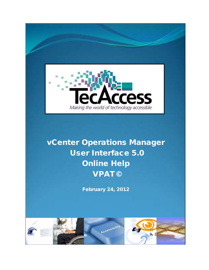

# vCenter Operations Manager User Interface 5.0 Online Help VPAT©

February 24, 2012

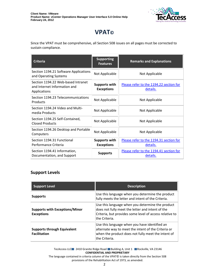

## **VPAT©**

Since the VPAT must be comprehensive, all Section 508 issues on all pages must be corrected to sustain compliance.

| <b>Criteria</b>                                                                    | <b>Supporting</b><br><b>Features</b>      | <b>Remarks and Explanations</b>                     |
|------------------------------------------------------------------------------------|-------------------------------------------|-----------------------------------------------------|
| Section 1194.21 Software Applications<br>and Operating Systems                     | Not Applicable                            | Not Applicable                                      |
| Section 1194.22 Web-based Intranet<br>and Internet Information and<br>Applications | <b>Supports with</b><br><b>Exceptions</b> | Please refer to the 1194.22 section for<br>details. |
| Section 1194.23 Telecommunications<br>Products                                     | Not Applicable                            | Not Applicable                                      |
| Section 1194.24 Video and Multi-<br>media Products                                 | Not Applicable                            | Not Applicable                                      |
| Section 1194.25 Self-Contained,<br><b>Closed Products</b>                          | Not Applicable                            | Not Applicable                                      |
| Section 1194.26 Desktop and Portable<br>Computers                                  | Not Applicable                            | Not Applicable                                      |
| Section 1194.31 Functional<br>Performance Criteria                                 | <b>Supports with</b><br><b>Exceptions</b> | Please refer to the 1194.31 section for<br>details. |
| Section 1194.41 Information,<br>Documentation, and Support                         | <b>Supports</b>                           | Please refer to the 1194.41 section for<br>details. |

#### **Support Levels**

| <b>Support Level</b>                                       | <b>Description</b>                                                                                                                                                               |
|------------------------------------------------------------|----------------------------------------------------------------------------------------------------------------------------------------------------------------------------------|
| <b>Supports</b>                                            | Use this language when you determine the product<br>fully meets the letter and intent of the Criteria.                                                                           |
| <b>Supports with Exceptions/Minor</b><br><b>Exceptions</b> | Use this language when you determine the product<br>does not fully meet the letter and intent of the<br>Criteria, but provides some level of access relative to<br>the Criteria. |
| <b>Supports through Equivalent</b><br><b>Facilitation</b>  | Use this language when you have identified an<br>alternate way to meet the intent of the Criteria or<br>when the product does not fully meet the intent of<br>the Criteria.      |

TecAccess LLC 2410 Granite Ridge Road Building A, Unit 1 Rockville, VA 23146 **CONFIDENTIAL AND PROPRIETARY**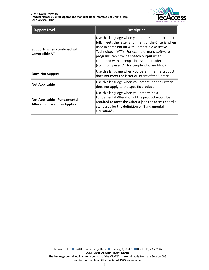

| <b>Support Level</b>                                                | <b>Description</b>                                                                                                                                                                                                                                                                                                                                  |
|---------------------------------------------------------------------|-----------------------------------------------------------------------------------------------------------------------------------------------------------------------------------------------------------------------------------------------------------------------------------------------------------------------------------------------------|
| Supports when combined with<br><b>Compatible AT</b>                 | Use this language when you determine the product<br>fully meets the letter and intent of the Criteria when<br>used in combination with Compatible Assistive<br>Technology ("AT"). For example, many software<br>programs can provide speech output when<br>combined with a compatible screen reader<br>(commonly used AT for people who are blind). |
| <b>Does Not Support</b>                                             | Use this language when you determine the product<br>does not meet the letter or intent of the Criteria.                                                                                                                                                                                                                                             |
| <b>Not Applicable</b>                                               | Use this language when you determine the Criteria<br>does not apply to the specific product.                                                                                                                                                                                                                                                        |
| Not Applicable - Fundamental<br><b>Alteration Exception Applies</b> | Use this language when you determine a<br>Fundamental Alteration of the product would be<br>required to meet the Criteria (see the access board's<br>standards for the definition of "fundamental<br>alteration").                                                                                                                                  |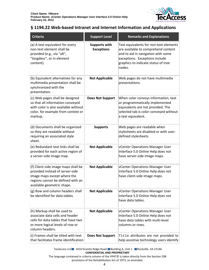

#### <span id="page-3-0"></span>**§ 1194.22 Web-based Intranet and Internet Information and Applications**

| <b>Criteria</b>                                                                                                                                                          | <b>Support Level</b>                      | <b>Remarks and Explanations</b>                                                                                                                                                                        |
|--------------------------------------------------------------------------------------------------------------------------------------------------------------------------|-------------------------------------------|--------------------------------------------------------------------------------------------------------------------------------------------------------------------------------------------------------|
| (a) A text equivalent for every<br>non-text element shall be<br>provided (e.g., via "alt",<br>"longdesc", or in element<br>content).                                     | <b>Supports with</b><br><b>Exceptions</b> | Text equivalents for non-text elements<br>are available to comprehend content<br>and to aid in navigation with some<br>exceptions. Exceptions include<br>graphics to indicate status of tree<br>nodes. |
| (b) Equivalent alternatives for any<br>multimedia presentation shall be<br>synchronized with the<br>presentation.                                                        | <b>Not Applicable</b>                     | Web pages do not have multimedia<br>presentations.                                                                                                                                                     |
| (c) Web pages shall be designed<br>so that all information conveyed<br>with color is also available without<br>color, for example from context or<br>markup.             | <b>Does Not Support</b>                   | When color conveys information, text<br>or programmatically implemented<br>equivalents are not provided. The<br>selected tab is color-conveyed without<br>a text equivalent.                           |
| (d) Documents shall be organized<br>so they are readable without<br>requiring an associated style<br>sheet.                                                              | <b>Supports</b>                           | Web pages are readable when<br>stylesheets are disabled or with user-<br>defined stylesheets.                                                                                                          |
| (e) Redundant text links shall be<br>provided for each active region of<br>a server-side image map.                                                                      | <b>Not Applicable</b>                     | vCenter Operations Manager User<br>Interface 5.0 Online Help does not<br>have server-side image maps.                                                                                                  |
| (f) Client-side image maps shall be<br>provided instead of server-side<br>image maps except where the<br>regions cannot be defined with an<br>available geometric shape. | <b>Not Applicable</b>                     | vCenter Operations Manager User<br>Interface 5.0 Online Help does not<br>have client-side image maps.                                                                                                  |
| (g) Row and column headers shall<br>be identified for data tables.                                                                                                       | <b>Not Applicable</b>                     | vCenter Operations Manager User<br>Interface 5.0 Online Help does not<br>have data tables.                                                                                                             |
| (h) Markup shall be used to<br>associate data cells and header<br>cells for data tables that have two<br>or more logical levels of row or<br>column headers.             | <b>Not Applicable</b>                     | vCenter Operations Manager User<br>Interface 5.0 Online Help does not<br>have data tables with multi-level<br>columns or rows.                                                                         |
| (i) Frames shall be titled with text<br>that facilitates frame identification                                                                                            | <b>Does Not Support</b>                   | Title attributes are not provided to<br>help assistive technology users identify                                                                                                                       |

TecAccess LLC 2410 Granite Ridge Road Building A, Unit 1 Rockville, VA 23146 **CONFIDENTIAL AND PROPRIETARY**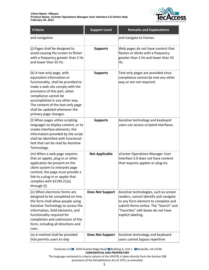

| <b>Criteria</b>                                                                                                                                                                                                                                                                                                             | <b>Support Level</b>    | <b>Remarks and Explanations</b>                                                                                                                                                                                             |
|-----------------------------------------------------------------------------------------------------------------------------------------------------------------------------------------------------------------------------------------------------------------------------------------------------------------------------|-------------------------|-----------------------------------------------------------------------------------------------------------------------------------------------------------------------------------------------------------------------------|
| and navigation                                                                                                                                                                                                                                                                                                              |                         | and navigate to frames.                                                                                                                                                                                                     |
| (j) Pages shall be designed to<br>avoid causing the screen to flicker<br>with a frequency greater than 2 Hz<br>and lower than 55 Hz.                                                                                                                                                                                        | <b>Supports</b>         | Web pages do not have content that<br>flashes or blinks with a frequency<br>greater than 2 Hz and lower than 55<br>Hz.                                                                                                      |
| (k) A text-only page, with<br>equivalent information or<br>functionality, shall be provided to<br>make a web site comply with the<br>provisions of this part, when<br>compliance cannot be<br>accomplished in any other way.<br>The content of the text-only page<br>shall be updated whenever the<br>primary page changes. | <b>Supports</b>         | Text-only pages are provided since<br>compliance cannot be met any other<br>way or are not required.                                                                                                                        |
| (I) When pages utilize scripting<br>languages to display content, or to<br>create interface elements, the<br>information provided by the script<br>shall be identified with functional<br>text that can be read by Assistive<br>Technology.                                                                                 | <b>Supports</b>         | Assistive technology and keyboard<br>users can access scripted interfaces.                                                                                                                                                  |
| (m) When a web page requires<br>that an applet, plug-in or other<br>application be present on the<br>client system to interpret page<br>content, the page must provide a<br>link to a plug-in or applet that<br>complies with §1194.21(a)<br>through (I).                                                                   | <b>Not Applicable</b>   | vCenter Operations Manager User<br>Interface 5.0 does not have content<br>that requires applets or plug-ins.                                                                                                                |
| (n) When electronic forms are<br>designed to be completed on-line,<br>the form shall allow people using<br>Assistive Technology to access the<br>information, field elements, and<br>functionality required for<br>completion and submission of the<br>form, including all directions and<br>cues.                          | <b>Does Not Support</b> | Assistive technologies, such as screen<br>readers, cannot identify and navigate<br>to any form element to complete and<br>submit forms online. The "Search" and<br>"Favorites" edit boxes do not have<br>explicit labeling. |
| (o) A method shall be provided<br>that permits users to skip                                                                                                                                                                                                                                                                | <b>Does Not Support</b> | Assistive technology and keyboard<br>users cannot bypass repetitive                                                                                                                                                         |

TecAccess LLC 2410 Granite Ridge Road Building A, Unit 1 Rockville, VA 23146 **CONFIDENTIAL AND PROPRIETARY**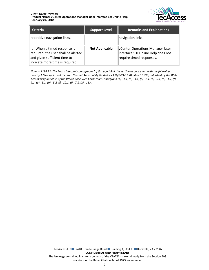

| <b>Criteria</b>                                                                                                                        | <b>Support Level</b>  | <b>Remarks and Explanations</b>                                                                          |
|----------------------------------------------------------------------------------------------------------------------------------------|-----------------------|----------------------------------------------------------------------------------------------------------|
| repetitive navigation links.                                                                                                           |                       | navigation links.                                                                                        |
| (p) When a timed response is<br>required, the user shall be alerted<br>and given sufficient time to<br>indicate more time is required. | <b>Not Applicable</b> | <b>VCenter Operations Manager User</b><br>Interface 5.0 Online Help does not<br>require timed responses. |

*Note to 1194.22: The Board interprets paragraphs (a) through (k) of this section as consistent with the following priority 1 Checkpoints of the Web Content Accessibility Guidelines 1.0 (WCAG 1.0) (May 5 1999) published by the Web Accessibility Initiative of the World Wide Web Consortium: Paragraph (a) - 1.1, (b) - 1.4, (c) - 2.1, (d) - 6.1, (e) - 1.2, (f) - 9.1, (g) - 5.1, (h) - 5.2, (i) - 12.1, (j) - 7.1, (k) - 11.4.*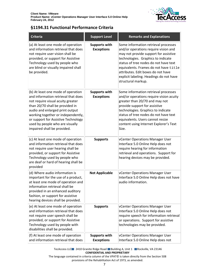

#### <span id="page-6-0"></span>**§1194.31 Functional Performance Criteria**

| <b>Criteria</b>                                                                                                                                                                                                                                                                                                                     | <b>Support Level</b>                      | <b>Remarks and Explanations</b>                                                                                                                                                                                                                                                                                                                      |
|-------------------------------------------------------------------------------------------------------------------------------------------------------------------------------------------------------------------------------------------------------------------------------------------------------------------------------------|-------------------------------------------|------------------------------------------------------------------------------------------------------------------------------------------------------------------------------------------------------------------------------------------------------------------------------------------------------------------------------------------------------|
| (a) At least one mode of operation<br>and information retrieval that does<br>not require user vision shall be<br>provided, or support for Assistive<br>Technology used by people who<br>are blind or visually impaired shall<br>be provided.                                                                                        | <b>Supports with</b><br><b>Exceptions</b> | Some information retrieval processes<br>and/or operations require vision and<br>may not provide support for assistive<br>technologies. Graphics to indicate<br>status of tree nodes do not have text<br>equivalents. Frames do not have title<br>attributes. Edit boxes do not have<br>explicit labeling. Headings do not have<br>structural markup. |
| (b) At least one mode of operation<br>and information retrieval that does<br>not require visual acuity greater<br>than 20/70 shall be provided in<br>audio and enlarged print output<br>working together or independently,<br>or support for Assistive Technology<br>used by people who are visually<br>impaired shall be provided. | <b>Supports with</b><br><b>Exceptions</b> | Some information retrieval processes<br>and/or operations require vision acuity<br>greater than 20/70 and may not<br>provide support for assistive<br>technologies. Graphics to indicate<br>status of tree nodes do not have text<br>equivalents. Users cannot resize<br>content using Internet Explorer's Text<br>Size.                             |
| (c) At least one mode of operation<br>and information retrieval that does<br>not require user hearing shall be<br>provided, or support for Assistive<br>Technology used by people who<br>are deaf or hard of hearing shall be<br>provided                                                                                           | <b>Supports</b>                           | vCenter Operations Manager User<br>Interface 5.0 Online Help does not<br>require hearing for information<br>retrieval and operations. Support for<br>hearing devices may be provided.                                                                                                                                                                |
| (d) Where audio information is<br>important for the use of a product,<br>at least one mode of operation and<br>information retrieval shall be<br>provided in an enhanced auditory<br>fashion, or support for assistive<br>hearing devices shall be provided.                                                                        | <b>Not Applicable</b>                     | vCenter Operations Manager User<br>Interface 5.0 Online Help does not have<br>audio information.                                                                                                                                                                                                                                                     |
| (e) At least one mode of operation<br>and information retrieval that does<br>not require user speech shall be<br>provided, or support for Assistive<br>Technology used by people with<br>disabilities shall be provided.                                                                                                            | <b>Supports</b>                           | vCenter Operations Manager User<br>Interface 5.0 Online Help does not<br>require speech for information retrieval<br>or operations. Support for assistive<br>technologies may be provided.                                                                                                                                                           |
| (f) At least one mode of operation<br>and information retrieval that does                                                                                                                                                                                                                                                           | <b>Supports with</b><br><b>Exceptions</b> | vCenter Operations Manager User<br>Interface 5.0 Online Help does not                                                                                                                                                                                                                                                                                |

TecAccess LLC 2410 Granite Ridge Road Building A, Unit 1 Rockville, VA 23146 **CONFIDENTIAL AND PROPRIETARY**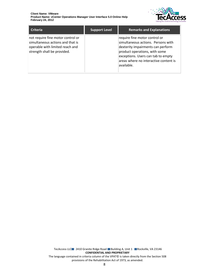

| <b>Criteria</b>                                                                                                                         | <b>Support Level</b> | <b>Remarks and Explanations</b>                                                                                                                                                                                                         |
|-----------------------------------------------------------------------------------------------------------------------------------------|----------------------|-----------------------------------------------------------------------------------------------------------------------------------------------------------------------------------------------------------------------------------------|
| not require fine motor control or<br>simultaneous actions and that is<br>operable with limited reach and<br>strength shall be provided. |                      | require fine motor control or<br>simultaneous actions. Persons with<br>dexterity impairments can perform<br>product operations, with some<br>exceptions. Users can tab to empty<br>areas where no interactive content is<br>lavailable. |

TecAccess LLC 2410 Granite Ridge Road Building A, Unit 1 Rockville, VA 23146 **CONFIDENTIAL AND PROPRIETARY** The language contained in criteria column of the VPAT© is taken directly from the Section 508 provisions of the Rehabilitation Act of 1973, as amended.